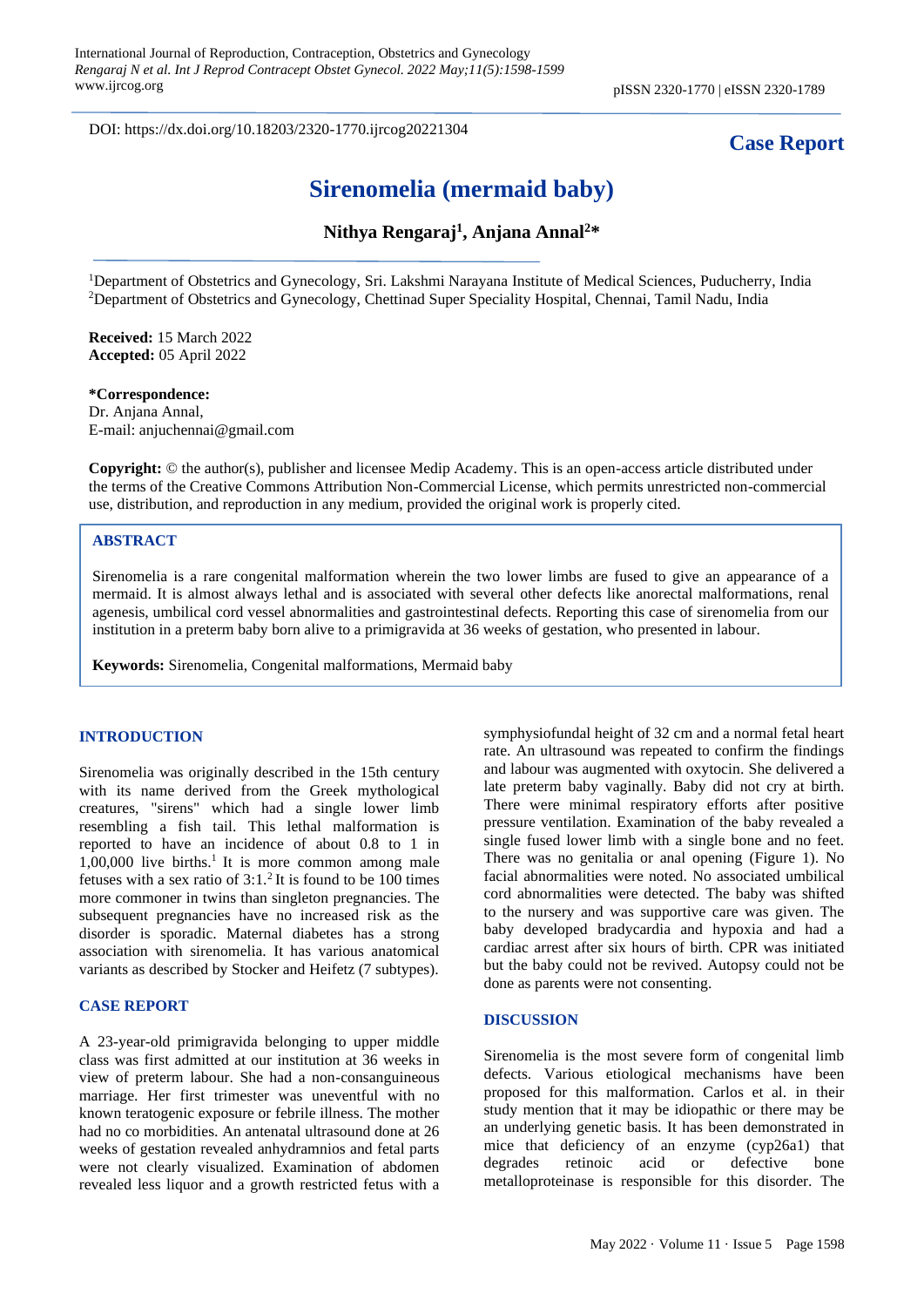DOI: https://dx.doi.org/10.18203/2320-1770.ijrcog20221304

# **Case Report**

# **Sirenomelia (mermaid baby)**

# **Nithya Rengaraj<sup>1</sup> , Anjana Annal<sup>2</sup>\***

<sup>1</sup>Department of Obstetrics and Gynecology, Sri. Lakshmi Narayana Institute of Medical Sciences, Puducherry, India <sup>2</sup>Department of Obstetrics and Gynecology, Chettinad Super Speciality Hospital, Chennai, Tamil Nadu, India

**Received:** 15 March 2022 **Accepted:** 05 April 2022

### **\*Correspondence:**

Dr. Anjana Annal, E-mail[: anjuchennai@gmail.com](mailto:anjuchennai@gmail.com)

**Copyright:** © the author(s), publisher and licensee Medip Academy. This is an open-access article distributed under the terms of the Creative Commons Attribution Non-Commercial License, which permits unrestricted non-commercial use, distribution, and reproduction in any medium, provided the original work is properly cited.

## **ABSTRACT**

Sirenomelia is a rare congenital malformation wherein the two lower limbs are fused to give an appearance of a mermaid. It is almost always lethal and is associated with several other defects like anorectal malformations, renal agenesis, umbilical cord vessel abnormalities and gastrointestinal defects. Reporting this case of sirenomelia from our institution in a preterm baby born alive to a primigravida at 36 weeks of gestation, who presented in labour.

**Keywords:** Sirenomelia, Congenital malformations, Mermaid baby

### **INTRODUCTION**

Sirenomelia was originally described in the 15th century with its name derived from the Greek mythological creatures, "sirens" which had a single lower limb resembling a fish tail. This lethal malformation is reported to have an incidence of about 0.8 to 1 in  $1,00,000$  live births.<sup>1</sup> It is more common among male fetuses with a sex ratio of  $3:1.^2$  It is found to be 100 times more commoner in twins than singleton pregnancies. The subsequent pregnancies have no increased risk as the disorder is sporadic. Maternal diabetes has a strong association with sirenomelia. It has various anatomical variants as described by Stocker and Heifetz (7 subtypes).

#### **CASE REPORT**

A 23-year-old primigravida belonging to upper middle class was first admitted at our institution at 36 weeks in view of preterm labour. She had a non-consanguineous marriage. Her first trimester was uneventful with no known teratogenic exposure or febrile illness. The mother had no co morbidities. An antenatal ultrasound done at 26 weeks of gestation revealed anhydramnios and fetal parts were not clearly visualized. Examination of abdomen revealed less liquor and a growth restricted fetus with a symphysiofundal height of 32 cm and a normal fetal heart rate. An ultrasound was repeated to confirm the findings and labour was augmented with oxytocin. She delivered a late preterm baby vaginally. Baby did not cry at birth. There were minimal respiratory efforts after positive pressure ventilation. Examination of the baby revealed a single fused lower limb with a single bone and no feet. There was no genitalia or anal opening (Figure 1). No facial abnormalities were noted. No associated umbilical cord abnormalities were detected. The baby was shifted to the nursery and was supportive care was given. The baby developed bradycardia and hypoxia and had a cardiac arrest after six hours of birth. CPR was initiated but the baby could not be revived. Autopsy could not be done as parents were not consenting.

#### **DISCUSSION**

Sirenomelia is the most severe form of congenital limb defects. Various etiological mechanisms have been proposed for this malformation. Carlos et al. in their study mention that it may be idiopathic or there may be an underlying genetic basis. It has been demonstrated in mice that deficiency of an enzyme (cyp26a1) that degrades retinoic acid or defective bone metalloproteinase is responsible for this disorder. The